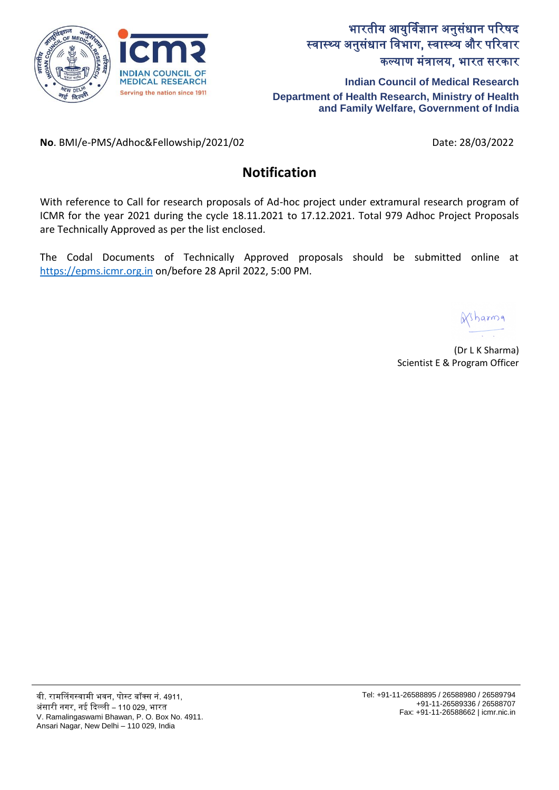

**Indian Council of Medical Research Department of Health Research, Ministry of Health and Family Welfare, Government of India**

**No**. BMI/e-PMS/Adhoc&Fellowship/2021/02 Date: 28/03/2022

# **Notification**

With reference to Call for research proposals of Ad-hoc project under extramural research program of ICMR for the year 2021 during the cycle 18.11.2021 to 17.12.2021. Total 979 Adhoc Project Proposals are Technically Approved as per the list enclosed.

The Codal Documents of Technically Approved proposals should be submitted online at [https://epms.icmr.org.in](https://epms.icmr.org.in/) on/before 28 April 2022, 5:00 PM.

(Dr L K Sharma) Scientist E & Program Officer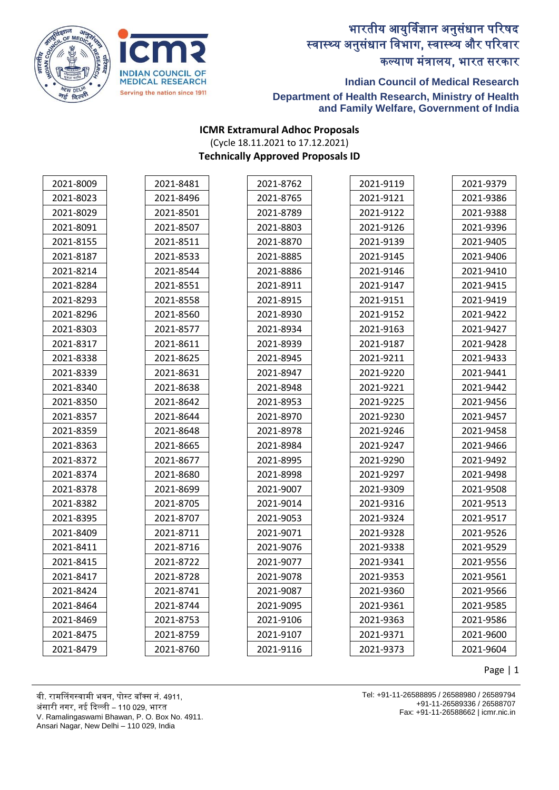



### **Indian Council of Medical Research Department of Health Research, Ministry of Health and Family Welfare, Government of India**

#### **ICMR Extramural Adhoc Proposals** (Cycle 18.11.2021 to 17.12.2021) **Technically Approved Proposals ID**

| 2021-8009 | 2021-8481 | 2021-8762 | 2021-9119 | 2021-9379 |
|-----------|-----------|-----------|-----------|-----------|
| 2021-8023 | 2021-8496 | 2021-8765 | 2021-9121 | 2021-9386 |
| 2021-8029 | 2021-8501 | 2021-8789 | 2021-9122 | 2021-9388 |
| 2021-8091 | 2021-8507 | 2021-8803 | 2021-9126 | 2021-9396 |
| 2021-8155 | 2021-8511 | 2021-8870 | 2021-9139 | 2021-9405 |
| 2021-8187 | 2021-8533 | 2021-8885 | 2021-9145 | 2021-9406 |
| 2021-8214 | 2021-8544 | 2021-8886 | 2021-9146 | 2021-9410 |
| 2021-8284 | 2021-8551 | 2021-8911 | 2021-9147 | 2021-9415 |
| 2021-8293 | 2021-8558 | 2021-8915 | 2021-9151 | 2021-9419 |
| 2021-8296 | 2021-8560 | 2021-8930 | 2021-9152 | 2021-9422 |
| 2021-8303 | 2021-8577 | 2021-8934 | 2021-9163 | 2021-9427 |
| 2021-8317 | 2021-8611 | 2021-8939 | 2021-9187 | 2021-9428 |
| 2021-8338 | 2021-8625 | 2021-8945 | 2021-9211 | 2021-9433 |
| 2021-8339 | 2021-8631 | 2021-8947 | 2021-9220 | 2021-9441 |
| 2021-8340 | 2021-8638 | 2021-8948 | 2021-9221 | 2021-9442 |
| 2021-8350 | 2021-8642 | 2021-8953 | 2021-9225 | 2021-9456 |
| 2021-8357 | 2021-8644 | 2021-8970 | 2021-9230 | 2021-9457 |
| 2021-8359 | 2021-8648 | 2021-8978 | 2021-9246 | 2021-9458 |
| 2021-8363 | 2021-8665 | 2021-8984 | 2021-9247 | 2021-9466 |
| 2021-8372 | 2021-8677 | 2021-8995 | 2021-9290 | 2021-9492 |
| 2021-8374 | 2021-8680 | 2021-8998 | 2021-9297 | 2021-9498 |
| 2021-8378 | 2021-8699 | 2021-9007 | 2021-9309 | 2021-9508 |
| 2021-8382 | 2021-8705 | 2021-9014 | 2021-9316 | 2021-9513 |
| 2021-8395 | 2021-8707 | 2021-9053 | 2021-9324 | 2021-9517 |
| 2021-8409 | 2021-8711 | 2021-9071 | 2021-9328 | 2021-9526 |
| 2021-8411 | 2021-8716 | 2021-9076 | 2021-9338 | 2021-9529 |
| 2021-8415 | 2021-8722 | 2021-9077 | 2021-9341 | 2021-9556 |
| 2021-8417 | 2021-8728 | 2021-9078 | 2021-9353 | 2021-9561 |
| 2021-8424 | 2021-8741 | 2021-9087 | 2021-9360 | 2021-9566 |
| 2021-8464 | 2021-8744 | 2021-9095 | 2021-9361 | 2021-9585 |
| 2021-8469 | 2021-8753 | 2021-9106 | 2021-9363 | 2021-9586 |
| 2021-8475 | 2021-8759 | 2021-9107 | 2021-9371 | 2021-9600 |
| 2021-8479 | 2021-8760 | 2021-9116 | 2021-9373 | 2021-9604 |

Page | 1

वी. रामललंगस्वामी भवन, पोस्ट बॉक्स नं. 4911, अंसारी नगर, नई ददल्ली – 110 029, भारत V. Ramalingaswami Bhawan, P. O. Box No. 4911. Tel: +91-11-26588895 / 26588980 / 26589794 +91-11-26589336 / 26588707

Fax: +91-11-26588662 | icmr.nic.in

Ansari Nagar, New Delhi – 110 029, India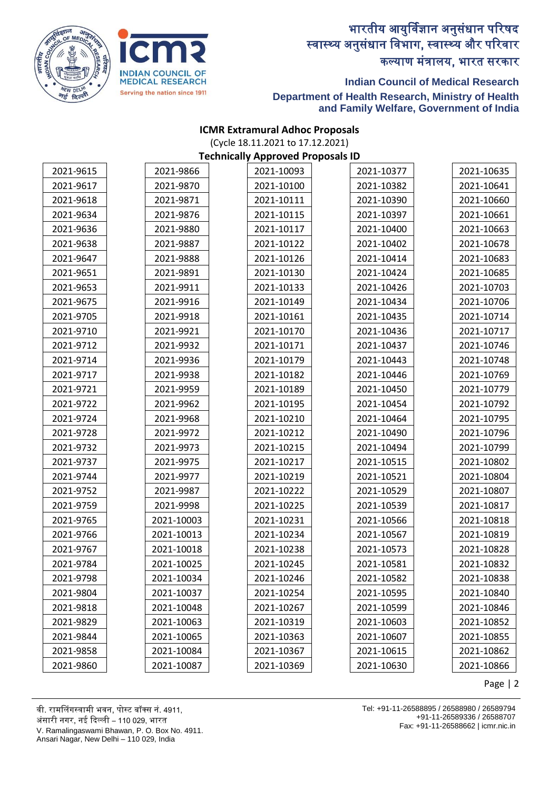



### **Indian Council of Medical Research Department of Health Research, Ministry of Health and Family Welfare, Government of India**

#### **ICMR Extramural Adhoc Proposals** (Cycle 18.11.2021 to 17.12.2021) **Technically Approved Proposals ID**

| 2021-9615 | 2021-9866  | 2021-10093 | 2021-10377 | 2021-10635 |
|-----------|------------|------------|------------|------------|
| 2021-9617 | 2021-9870  | 2021-10100 | 2021-10382 | 2021-10641 |
| 2021-9618 | 2021-9871  | 2021-10111 | 2021-10390 | 2021-10660 |
| 2021-9634 | 2021-9876  | 2021-10115 | 2021-10397 | 2021-10661 |
| 2021-9636 | 2021-9880  | 2021-10117 | 2021-10400 | 2021-10663 |
| 2021-9638 | 2021-9887  | 2021-10122 | 2021-10402 | 2021-10678 |
| 2021-9647 | 2021-9888  | 2021-10126 | 2021-10414 | 2021-10683 |
| 2021-9651 | 2021-9891  | 2021-10130 | 2021-10424 | 2021-10685 |
| 2021-9653 | 2021-9911  | 2021-10133 | 2021-10426 | 2021-10703 |
| 2021-9675 | 2021-9916  | 2021-10149 | 2021-10434 | 2021-10706 |
| 2021-9705 | 2021-9918  | 2021-10161 | 2021-10435 | 2021-10714 |
| 2021-9710 | 2021-9921  | 2021-10170 | 2021-10436 | 2021-10717 |
| 2021-9712 | 2021-9932  | 2021-10171 | 2021-10437 | 2021-10746 |
| 2021-9714 | 2021-9936  | 2021-10179 | 2021-10443 | 2021-10748 |
| 2021-9717 | 2021-9938  | 2021-10182 | 2021-10446 | 2021-10769 |
| 2021-9721 | 2021-9959  | 2021-10189 | 2021-10450 | 2021-10779 |
| 2021-9722 | 2021-9962  | 2021-10195 | 2021-10454 | 2021-10792 |
| 2021-9724 | 2021-9968  | 2021-10210 | 2021-10464 | 2021-10795 |
| 2021-9728 | 2021-9972  | 2021-10212 | 2021-10490 | 2021-10796 |
| 2021-9732 | 2021-9973  | 2021-10215 | 2021-10494 | 2021-10799 |
| 2021-9737 | 2021-9975  | 2021-10217 | 2021-10515 | 2021-10802 |
| 2021-9744 | 2021-9977  | 2021-10219 | 2021-10521 | 2021-10804 |
| 2021-9752 | 2021-9987  | 2021-10222 | 2021-10529 | 2021-10807 |
| 2021-9759 | 2021-9998  | 2021-10225 | 2021-10539 | 2021-10817 |
| 2021-9765 | 2021-10003 | 2021-10231 | 2021-10566 | 2021-10818 |
| 2021-9766 | 2021-10013 | 2021-10234 | 2021-10567 | 2021-10819 |
| 2021-9767 | 2021-10018 | 2021-10238 | 2021-10573 | 2021-10828 |
| 2021-9784 | 2021-10025 | 2021-10245 | 2021-10581 | 2021-10832 |
| 2021-9798 | 2021-10034 | 2021-10246 | 2021-10582 | 2021-10838 |
| 2021-9804 | 2021-10037 | 2021-10254 | 2021-10595 | 2021-10840 |
| 2021-9818 | 2021-10048 | 2021-10267 | 2021-10599 | 2021-10846 |
| 2021-9829 | 2021-10063 | 2021-10319 | 2021-10603 | 2021-10852 |
| 2021-9844 | 2021-10065 | 2021-10363 | 2021-10607 | 2021-10855 |
| 2021-9858 | 2021-10084 | 2021-10367 | 2021-10615 | 2021-10862 |
| 2021-9860 | 2021-10087 | 2021-10369 | 2021-10630 | 2021-10866 |

Page | 2

वी. रामललंगस्वामी भवन, पोस्ट बॉक्स नं. 4911,

अंसारी नगर, नई ददल्ली – 110 029, भारत

V. Ramalingaswami Bhawan, P. O. Box No. 4911.

Ansari Nagar, New Delhi – 110 029, India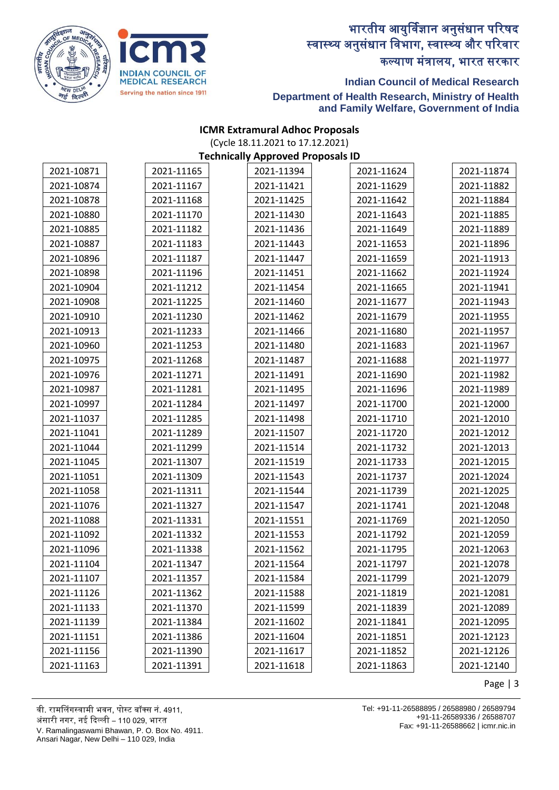



### **Indian Council of Medical Research Department of Health Research, Ministry of Health and Family Welfare, Government of India**

#### **ICMR Extramural Adhoc Proposals** (Cycle 18.11.2021 to 17.12.2021) **Technically Approved Proposals ID**

| 2021-10871 | 2021-11165 | 2021-11394 | 2021-11624 | 2021-11874 |
|------------|------------|------------|------------|------------|
| 2021-10874 | 2021-11167 | 2021-11421 | 2021-11629 | 2021-11882 |
| 2021-10878 | 2021-11168 | 2021-11425 | 2021-11642 | 2021-11884 |
| 2021-10880 | 2021-11170 | 2021-11430 | 2021-11643 | 2021-11885 |
| 2021-10885 | 2021-11182 | 2021-11436 | 2021-11649 | 2021-11889 |
| 2021-10887 | 2021-11183 | 2021-11443 | 2021-11653 | 2021-11896 |
| 2021-10896 | 2021-11187 | 2021-11447 | 2021-11659 | 2021-11913 |
| 2021-10898 | 2021-11196 | 2021-11451 | 2021-11662 | 2021-11924 |
| 2021-10904 | 2021-11212 | 2021-11454 | 2021-11665 | 2021-11941 |
| 2021-10908 | 2021-11225 | 2021-11460 | 2021-11677 | 2021-11943 |
| 2021-10910 | 2021-11230 | 2021-11462 | 2021-11679 | 2021-11955 |
| 2021-10913 | 2021-11233 | 2021-11466 | 2021-11680 | 2021-11957 |
| 2021-10960 | 2021-11253 | 2021-11480 | 2021-11683 | 2021-11967 |
| 2021-10975 | 2021-11268 | 2021-11487 | 2021-11688 | 2021-11977 |
| 2021-10976 | 2021-11271 | 2021-11491 | 2021-11690 | 2021-11982 |
| 2021-10987 | 2021-11281 | 2021-11495 | 2021-11696 | 2021-11989 |
| 2021-10997 | 2021-11284 | 2021-11497 | 2021-11700 | 2021-12000 |
| 2021-11037 | 2021-11285 | 2021-11498 | 2021-11710 | 2021-12010 |
| 2021-11041 | 2021-11289 | 2021-11507 | 2021-11720 | 2021-12012 |
| 2021-11044 | 2021-11299 | 2021-11514 | 2021-11732 | 2021-12013 |
| 2021-11045 | 2021-11307 | 2021-11519 | 2021-11733 | 2021-12015 |
| 2021-11051 | 2021-11309 | 2021-11543 | 2021-11737 | 2021-12024 |
| 2021-11058 | 2021-11311 | 2021-11544 | 2021-11739 | 2021-12025 |
| 2021-11076 | 2021-11327 | 2021-11547 | 2021-11741 | 2021-12048 |
| 2021-11088 | 2021-11331 | 2021-11551 | 2021-11769 | 2021-12050 |
| 2021-11092 | 2021-11332 | 2021-11553 | 2021-11792 | 2021-12059 |
| 2021-11096 | 2021-11338 | 2021-11562 | 2021-11795 | 2021-12063 |
| 2021-11104 | 2021-11347 | 2021-11564 | 2021-11797 | 2021-12078 |
| 2021-11107 | 2021-11357 | 2021-11584 | 2021-11799 | 2021-12079 |
| 2021-11126 | 2021-11362 | 2021-11588 | 2021-11819 | 2021-12081 |
| 2021-11133 | 2021-11370 | 2021-11599 | 2021-11839 | 2021-12089 |
| 2021-11139 | 2021-11384 | 2021-11602 | 2021-11841 | 2021-12095 |
| 2021-11151 | 2021-11386 | 2021-11604 | 2021-11851 | 2021-12123 |
| 2021-11156 | 2021-11390 | 2021-11617 | 2021-11852 | 2021-12126 |
| 2021-11163 | 2021-11391 | 2021-11618 | 2021-11863 | 2021-12140 |

Page | 3

वी. रामललंगस्वामी भवन, पोस्ट बॉक्स नं. 4911,

अंसारी नगर, नई ददल्ली – 110 029, भारत

V. Ramalingaswami Bhawan, P. O. Box No. 4911.

Ansari Nagar, New Delhi – 110 029, India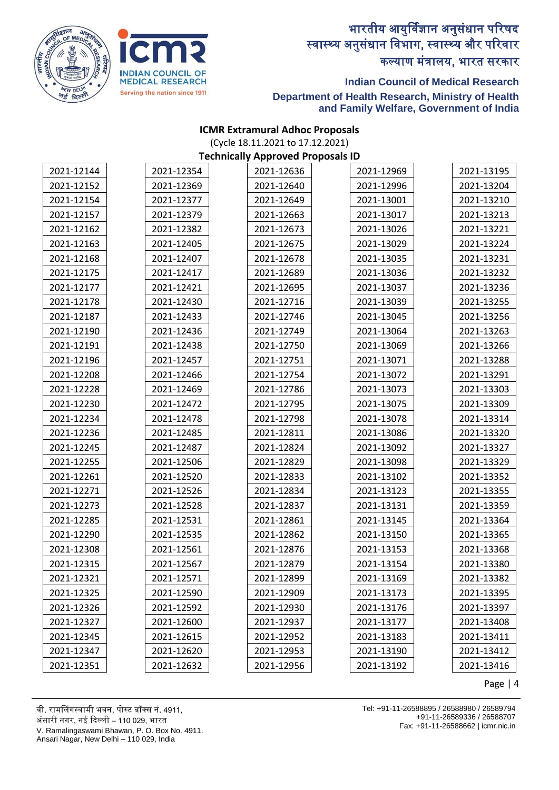



### **Indian Council of Medical Research Department of Health Research, Ministry of Health and Family Welfare, Government of India**

#### **ICMR Extramural Adhoc Proposals** (Cycle 18.11.2021 to 17.12.2021) **Technically Approved Proposals ID**

| 2021-12144 | 2021-12354 | 2021-12636 | 2021-12969 | 2021-13195 |
|------------|------------|------------|------------|------------|
| 2021-12152 | 2021-12369 | 2021-12640 | 2021-12996 | 2021-13204 |
| 2021-12154 | 2021-12377 | 2021-12649 | 2021-13001 | 2021-13210 |
| 2021-12157 | 2021-12379 | 2021-12663 | 2021-13017 | 2021-13213 |
| 2021-12162 | 2021-12382 | 2021-12673 | 2021-13026 | 2021-13221 |
| 2021-12163 | 2021-12405 | 2021-12675 | 2021-13029 | 2021-13224 |
| 2021-12168 | 2021-12407 | 2021-12678 | 2021-13035 | 2021-13231 |
| 2021-12175 | 2021-12417 | 2021-12689 | 2021-13036 | 2021-13232 |
| 2021-12177 | 2021-12421 | 2021-12695 | 2021-13037 | 2021-13236 |
| 2021-12178 | 2021-12430 | 2021-12716 | 2021-13039 | 2021-13255 |
| 2021-12187 | 2021-12433 | 2021-12746 | 2021-13045 | 2021-13256 |
| 2021-12190 | 2021-12436 | 2021-12749 | 2021-13064 | 2021-13263 |
| 2021-12191 | 2021-12438 | 2021-12750 | 2021-13069 | 2021-13266 |
| 2021-12196 | 2021-12457 | 2021-12751 | 2021-13071 | 2021-13288 |
| 2021-12208 | 2021-12466 | 2021-12754 | 2021-13072 | 2021-13291 |
| 2021-12228 | 2021-12469 | 2021-12786 | 2021-13073 | 2021-13303 |
| 2021-12230 | 2021-12472 | 2021-12795 | 2021-13075 | 2021-13309 |
| 2021-12234 | 2021-12478 | 2021-12798 | 2021-13078 | 2021-13314 |
| 2021-12236 | 2021-12485 | 2021-12811 | 2021-13086 | 2021-13320 |
| 2021-12245 | 2021-12487 | 2021-12824 | 2021-13092 | 2021-13327 |
| 2021-12255 | 2021-12506 | 2021-12829 | 2021-13098 | 2021-13329 |
| 2021-12261 | 2021-12520 | 2021-12833 | 2021-13102 | 2021-13352 |
| 2021-12271 | 2021-12526 | 2021-12834 | 2021-13123 | 2021-13355 |
| 2021-12273 | 2021-12528 | 2021-12837 | 2021-13131 | 2021-13359 |
| 2021-12285 | 2021-12531 | 2021-12861 | 2021-13145 | 2021-13364 |
| 2021-12290 | 2021-12535 | 2021-12862 | 2021-13150 | 2021-13365 |
| 2021-12308 | 2021-12561 | 2021-12876 | 2021-13153 | 2021-13368 |
| 2021-12315 | 2021-12567 | 2021-12879 | 2021-13154 | 2021-13380 |
| 2021-12321 | 2021-12571 | 2021-12899 | 2021-13169 | 2021-13382 |
| 2021-12325 | 2021-12590 | 2021-12909 | 2021-13173 | 2021-13395 |
| 2021-12326 | 2021-12592 | 2021-12930 | 2021-13176 | 2021-13397 |
| 2021-12327 | 2021-12600 | 2021-12937 | 2021-13177 | 2021-13408 |
| 2021-12345 | 2021-12615 | 2021-12952 | 2021-13183 | 2021-13411 |
| 2021-12347 | 2021-12620 | 2021-12953 | 2021-13190 | 2021-13412 |
| 2021-12351 | 2021-12632 | 2021-12956 | 2021-13192 | 2021-13416 |

Page | 4

वी. रामललंगस्वामी भवन, पोस्ट बॉक्स नं. 4911,

अंसारी नगर, नई ददल्ली – 110 029, भारत

V. Ramalingaswami Bhawan, P. O. Box No. 4911.

Ansari Nagar, New Delhi – 110 029, India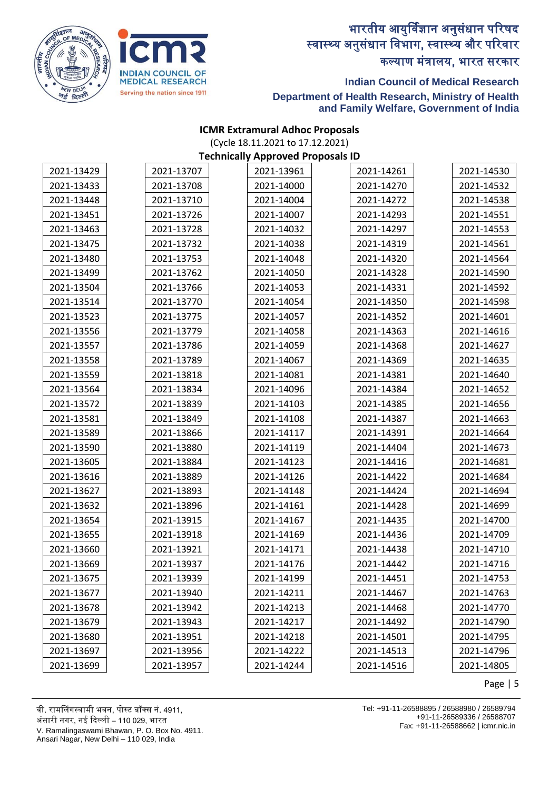



### **Indian Council of Medical Research Department of Health Research, Ministry of Health and Family Welfare, Government of India**

#### **ICMR Extramural Adhoc Proposals** (Cycle 18.11.2021 to 17.12.2021) **Technically Approved Proposals ID**

| 2021-13429 | 2021-13707 | 2021-13961 | 2021-14261 | 2021-14530 |
|------------|------------|------------|------------|------------|
| 2021-13433 | 2021-13708 | 2021-14000 | 2021-14270 | 2021-14532 |
| 2021-13448 | 2021-13710 | 2021-14004 | 2021-14272 | 2021-14538 |
| 2021-13451 | 2021-13726 | 2021-14007 | 2021-14293 | 2021-14551 |
| 2021-13463 | 2021-13728 | 2021-14032 | 2021-14297 | 2021-14553 |
| 2021-13475 | 2021-13732 | 2021-14038 | 2021-14319 | 2021-14561 |
| 2021-13480 | 2021-13753 | 2021-14048 | 2021-14320 | 2021-14564 |
| 2021-13499 | 2021-13762 | 2021-14050 | 2021-14328 | 2021-14590 |
| 2021-13504 | 2021-13766 | 2021-14053 | 2021-14331 | 2021-14592 |
| 2021-13514 | 2021-13770 | 2021-14054 | 2021-14350 | 2021-14598 |
| 2021-13523 | 2021-13775 | 2021-14057 | 2021-14352 | 2021-14601 |
| 2021-13556 | 2021-13779 | 2021-14058 | 2021-14363 | 2021-14616 |
| 2021-13557 | 2021-13786 | 2021-14059 | 2021-14368 | 2021-14627 |
| 2021-13558 | 2021-13789 | 2021-14067 | 2021-14369 | 2021-14635 |
| 2021-13559 | 2021-13818 | 2021-14081 | 2021-14381 | 2021-14640 |
| 2021-13564 | 2021-13834 | 2021-14096 | 2021-14384 | 2021-14652 |
| 2021-13572 | 2021-13839 | 2021-14103 | 2021-14385 | 2021-14656 |
| 2021-13581 | 2021-13849 | 2021-14108 | 2021-14387 | 2021-14663 |
| 2021-13589 | 2021-13866 | 2021-14117 | 2021-14391 | 2021-14664 |
| 2021-13590 | 2021-13880 | 2021-14119 | 2021-14404 | 2021-14673 |
| 2021-13605 | 2021-13884 | 2021-14123 | 2021-14416 | 2021-14681 |
| 2021-13616 | 2021-13889 | 2021-14126 | 2021-14422 | 2021-14684 |
| 2021-13627 | 2021-13893 | 2021-14148 | 2021-14424 | 2021-14694 |
| 2021-13632 | 2021-13896 | 2021-14161 | 2021-14428 | 2021-14699 |
| 2021-13654 | 2021-13915 | 2021-14167 | 2021-14435 | 2021-14700 |
| 2021-13655 | 2021-13918 | 2021-14169 | 2021-14436 | 2021-14709 |
| 2021-13660 | 2021-13921 | 2021-14171 | 2021-14438 | 2021-14710 |
| 2021-13669 | 2021-13937 | 2021-14176 | 2021-14442 | 2021-14716 |
| 2021-13675 | 2021-13939 | 2021-14199 | 2021-14451 | 2021-14753 |
| 2021-13677 | 2021-13940 | 2021-14211 | 2021-14467 | 2021-14763 |
| 2021-13678 | 2021-13942 | 2021-14213 | 2021-14468 | 2021-14770 |
| 2021-13679 | 2021-13943 | 2021-14217 | 2021-14492 | 2021-14790 |
| 2021-13680 | 2021-13951 | 2021-14218 | 2021-14501 | 2021-14795 |
| 2021-13697 | 2021-13956 | 2021-14222 | 2021-14513 | 2021-14796 |
| 2021-13699 | 2021-13957 | 2021-14244 | 2021-14516 | 2021-14805 |

Page | 5

वी. रामललंगस्वामी भवन, पोस्ट बॉक्स नं. 4911,

अंसारी नगर, नई ददल्ली – 110 029, भारत

V. Ramalingaswami Bhawan, P. O. Box No. 4911.

Ansari Nagar, New Delhi – 110 029, India